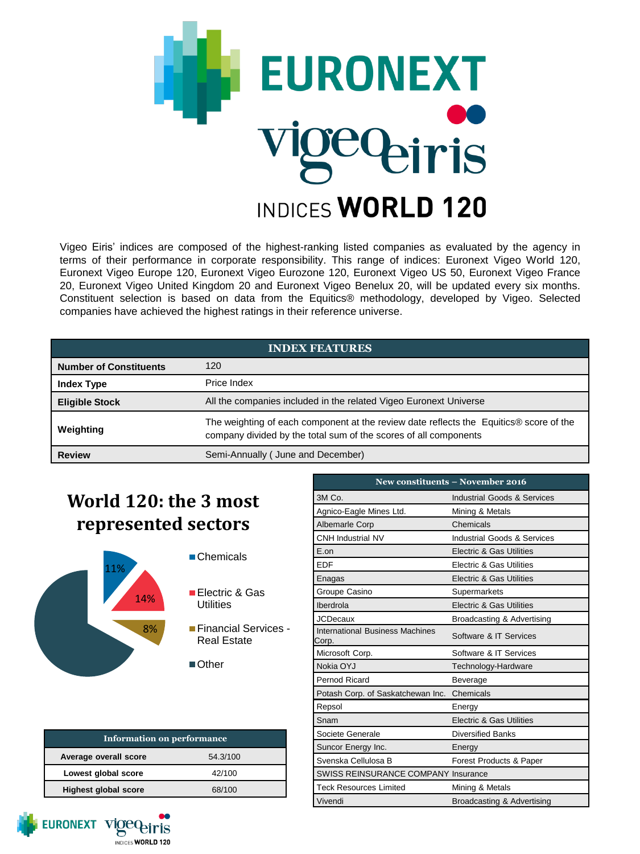

Vigeo Eiris' indices are composed of the highest-ranking listed companies as evaluated by the agency in terms of their performance in corporate responsibility. This range of indices: Euronext Vigeo World 120, Euronext Vigeo Europe 120, Euronext Vigeo Eurozone 120, Euronext Vigeo US 50, Euronext Vigeo France 20, Euronext Vigeo United Kingdom 20 and Euronext Vigeo Benelux 20, will be updated every six months. Constituent selection is based on data from the Equitics® methodology, developed by Vigeo. Selected companies have achieved the highest ratings in their reference universe.

| <b>INDEX FEATURES</b>         |                                                                                                                                                            |  |
|-------------------------------|------------------------------------------------------------------------------------------------------------------------------------------------------------|--|
| <b>Number of Constituents</b> | 120                                                                                                                                                        |  |
| <b>Index Type</b>             | Price Index                                                                                                                                                |  |
| <b>Eligible Stock</b>         | All the companies included in the related Vigeo Euronext Universe                                                                                          |  |
| Weighting                     | The weighting of each component at the review date reflects the Equitics® score of the<br>company divided by the total sum of the scores of all components |  |
| <b>Review</b>                 | Semi-Annually (June and December)                                                                                                                          |  |

# **World 120: the 3 most represented sectors**



- Chemicals
- Electric & Gas **Utilities**
- Financial Services Real Estate
- ■Other

| <b>Information on performance</b> |          |  |
|-----------------------------------|----------|--|
| Average overall score             | 54.3/100 |  |
| Lowest global score               | 42/100   |  |
| <b>Highest global score</b>       | 68/100   |  |

| New constituents - November 2016         |                                        |  |  |
|------------------------------------------|----------------------------------------|--|--|
| 3M Co.                                   | <b>Industrial Goods &amp; Services</b> |  |  |
| Agnico-Eagle Mines Ltd.                  | Mining & Metals                        |  |  |
| <b>Albemarle Corp</b>                    | Chemicals                              |  |  |
| <b>CNH Industrial NV</b>                 | <b>Industrial Goods &amp; Services</b> |  |  |
| $F \cap n$                               | <b>Electric &amp; Gas Utilities</b>    |  |  |
| <b>FDF</b>                               | Electric & Gas Utilities               |  |  |
| Enagas                                   | Electric & Gas Utilities               |  |  |
| Groupe Casino                            | Supermarkets                           |  |  |
| Iberdrola                                | Electric & Gas Utilities               |  |  |
| <b>JCDecaux</b>                          | Broadcasting & Advertising             |  |  |
| International Business Machines<br>Corp. | Software & IT Services                 |  |  |
| Microsoft Corp.                          | Software & IT Services                 |  |  |
| Nokia OYJ                                | Technology-Hardware                    |  |  |
| Pernod Ricard                            | <b>Beverage</b>                        |  |  |
| Potash Corp. of Saskatchewan Inc.        | Chemicals                              |  |  |
| Repsol                                   | Energy                                 |  |  |
| Snam                                     | Electric & Gas Utilities               |  |  |
| Societe Generale                         | <b>Diversified Banks</b>               |  |  |
| Suncor Energy Inc.                       | Energy                                 |  |  |
| Svenska Cellulosa B                      | Forest Products & Paper                |  |  |
| SWISS REINSURANCE COMPANY Insurance      |                                        |  |  |
| <b>Teck Resources Limited</b>            | Mining & Metals                        |  |  |
| Vivendi                                  | Broadcasting & Advertising             |  |  |

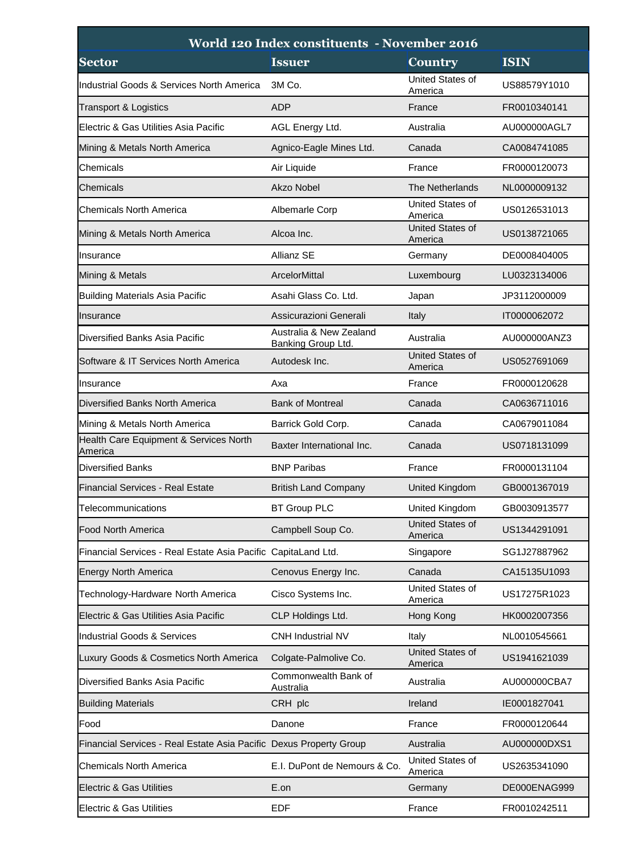| World 120 Index constituents - November 2016                       |                                               |                             |              |
|--------------------------------------------------------------------|-----------------------------------------------|-----------------------------|--------------|
| <b>Sector</b>                                                      | <b>Issuer</b>                                 | <b>Country</b>              | <b>ISIN</b>  |
| Industrial Goods & Services North America                          | 3M Co.                                        | United States of<br>America | US88579Y1010 |
| Transport & Logistics                                              | <b>ADP</b>                                    | France                      | FR0010340141 |
| Electric & Gas Utilities Asia Pacific                              | AGL Energy Ltd.                               | Australia                   | AU000000AGL7 |
| Mining & Metals North America                                      | Agnico-Eagle Mines Ltd.                       | Canada                      | CA0084741085 |
| Chemicals                                                          | Air Liquide                                   | France                      | FR0000120073 |
| Chemicals                                                          | Akzo Nobel                                    | <b>The Netherlands</b>      | NL0000009132 |
| Chemicals North America                                            | Albemarle Corp                                | United States of<br>America | US0126531013 |
| Mining & Metals North America                                      | Alcoa Inc.                                    | United States of<br>America | US0138721065 |
| IInsurance                                                         | Allianz SE                                    | Germany                     | DE0008404005 |
| Mining & Metals                                                    | ArcelorMittal                                 | Luxembourg                  | LU0323134006 |
| <b>Building Materials Asia Pacific</b>                             | Asahi Glass Co. Ltd.                          | Japan                       | JP3112000009 |
| Insurance                                                          | Assicurazioni Generali                        | Italy                       | IT0000062072 |
| Diversified Banks Asia Pacific                                     | Australia & New Zealand<br>Banking Group Ltd. | Australia                   | AU000000ANZ3 |
| Software & IT Services North America                               | Autodesk Inc.                                 | United States of<br>America | US0527691069 |
| llnsurance                                                         | Axa                                           | France                      | FR0000120628 |
| Diversified Banks North America                                    | <b>Bank of Montreal</b>                       | Canada                      | CA0636711016 |
| Mining & Metals North America                                      | Barrick Gold Corp.                            | Canada                      | CA0679011084 |
| Health Care Equipment & Services North<br>America                  | Baxter International Inc.                     | Canada                      | US0718131099 |
| <b>Diversified Banks</b>                                           | <b>BNP Paribas</b>                            | France                      | FR0000131104 |
| Financial Services - Real Estate                                   | <b>British Land Company</b>                   | <b>United Kingdom</b>       | GB0001367019 |
| Telecommunications                                                 | <b>BT Group PLC</b>                           | United Kingdom              | GB0030913577 |
| <b>Food North America</b>                                          | Campbell Soup Co.                             | United States of<br>America | US1344291091 |
| Financial Services - Real Estate Asia Pacific CapitaLand Ltd.      |                                               | Singapore                   | SG1J27887962 |
| Energy North America                                               | Cenovus Energy Inc.                           | Canada                      | CA15135U1093 |
| Technology-Hardware North America                                  | Cisco Systems Inc.                            | United States of<br>America | US17275R1023 |
| Electric & Gas Utilities Asia Pacific                              | CLP Holdings Ltd.                             | Hong Kong                   | HK0002007356 |
| Industrial Goods & Services                                        | <b>CNH Industrial NV</b>                      | Italy                       | NL0010545661 |
| Luxury Goods & Cosmetics North America                             | Colgate-Palmolive Co.                         | United States of<br>America | US1941621039 |
| Diversified Banks Asia Pacific                                     | Commonwealth Bank of<br>Australia             | Australia                   | AU000000CBA7 |
| <b>Building Materials</b>                                          | CRH plc                                       | Ireland                     | IE0001827041 |
| Food                                                               | Danone                                        | France                      | FR0000120644 |
| Financial Services - Real Estate Asia Pacific Dexus Property Group |                                               | Australia                   | AU000000DXS1 |
| Chemicals North America                                            | E.I. DuPont de Nemours & Co.                  | United States of<br>America | US2635341090 |
| <b>Electric &amp; Gas Utilities</b>                                | E.on                                          | Germany                     | DE000ENAG999 |
| Electric & Gas Utilities                                           | <b>EDF</b>                                    | France                      | FR0010242511 |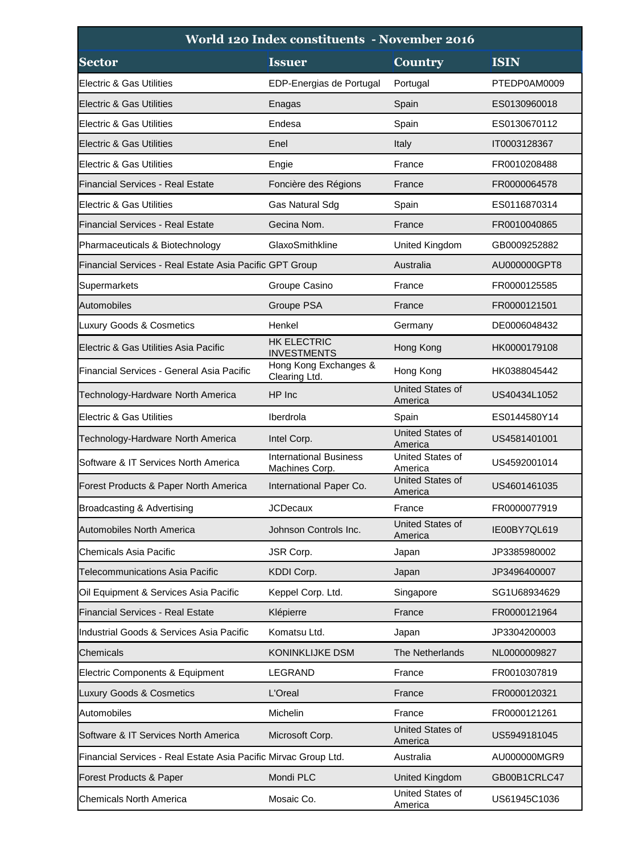| World 120 Index constituents - November 2016                    |                                                 |                                    |              |
|-----------------------------------------------------------------|-------------------------------------------------|------------------------------------|--------------|
| <b>Sector</b>                                                   | <b>Issuer</b>                                   | <b>Country</b>                     | <b>ISIN</b>  |
| Electric & Gas Utilities                                        | EDP-Energias de Portugal                        | Portugal                           | PTEDP0AM0009 |
| Electric & Gas Utilities                                        | Enagas                                          | Spain                              | ES0130960018 |
| Electric & Gas Utilities                                        | Endesa                                          | Spain                              | ES0130670112 |
| <b>Electric &amp; Gas Utilities</b>                             | Enel                                            | Italy                              | IT0003128367 |
| Electric & Gas Utilities                                        | Engie                                           | France                             | FR0010208488 |
| Financial Services - Real Estate                                | Foncière des Régions                            | France                             | FR0000064578 |
| Electric & Gas Utilities                                        | Gas Natural Sdg                                 | Spain                              | ES0116870314 |
| Financial Services - Real Estate                                | Gecina Nom.                                     | France                             | FR0010040865 |
| Pharmaceuticals & Biotechnology                                 | GlaxoSmithkline                                 | United Kingdom                     | GB0009252882 |
| Financial Services - Real Estate Asia Pacific GPT Group         |                                                 | Australia                          | AU000000GPT8 |
| Supermarkets                                                    | Groupe Casino                                   | France                             | FR0000125585 |
| Automobiles                                                     | Groupe PSA                                      | France                             | FR0000121501 |
| Luxury Goods & Cosmetics                                        | Henkel                                          | Germany                            | DE0006048432 |
| Electric & Gas Utilities Asia Pacific                           | <b>HK ELECTRIC</b><br><b>INVESTMENTS</b>        | Hong Kong                          | HK0000179108 |
| Financial Services - General Asia Pacific                       | Hong Kong Exchanges &<br>Clearing Ltd.          | Hong Kong                          | HK0388045442 |
| Technology-Hardware North America                               | HP Inc                                          | <b>United States of</b><br>America | US40434L1052 |
| <b>Electric &amp; Gas Utilities</b>                             | Iberdrola                                       | Spain                              | ES0144580Y14 |
| Technology-Hardware North America                               | Intel Corp.                                     | United States of<br>America        | US4581401001 |
| Software & IT Services North America                            | <b>International Business</b><br>Machines Corp. | United States of<br>America        | US4592001014 |
| Forest Products & Paper North America                           | International Paper Co.                         | <b>United States of</b><br>America | US4601461035 |
| Broadcasting & Advertising                                      | <b>JCDecaux</b>                                 | France                             | FR0000077919 |
| <b>Automobiles North America</b>                                | Johnson Controls Inc.                           | United States of<br>America        | IE00BY7QL619 |
| Chemicals Asia Pacific                                          | JSR Corp.                                       | Japan                              | JP3385980002 |
| Telecommunications Asia Pacific                                 | KDDI Corp.                                      | Japan                              | JP3496400007 |
| Oil Equipment & Services Asia Pacific                           | Keppel Corp. Ltd.                               | Singapore                          | SG1U68934629 |
| Financial Services - Real Estate                                | Klépierre                                       | France                             | FR0000121964 |
| Industrial Goods & Services Asia Pacific                        | Komatsu Ltd.                                    | Japan                              | JP3304200003 |
| Chemicals                                                       | <b>KONINKLIJKE DSM</b>                          | The Netherlands                    | NL0000009827 |
| Electric Components & Equipment                                 | LEGRAND                                         | France                             | FR0010307819 |
| <b>Luxury Goods &amp; Cosmetics</b>                             | L'Oreal                                         | France                             | FR0000120321 |
| Automobiles                                                     | Michelin                                        | France                             | FR0000121261 |
| Software & IT Services North America                            | Microsoft Corp.                                 | United States of<br>America        | US5949181045 |
| Financial Services - Real Estate Asia Pacific Mirvac Group Ltd. |                                                 | Australia                          | AU000000MGR9 |
| Forest Products & Paper                                         | Mondi PLC                                       | United Kingdom                     | GB00B1CRLC47 |
| <b>Chemicals North America</b>                                  | Mosaic Co.                                      | United States of<br>America        | US61945C1036 |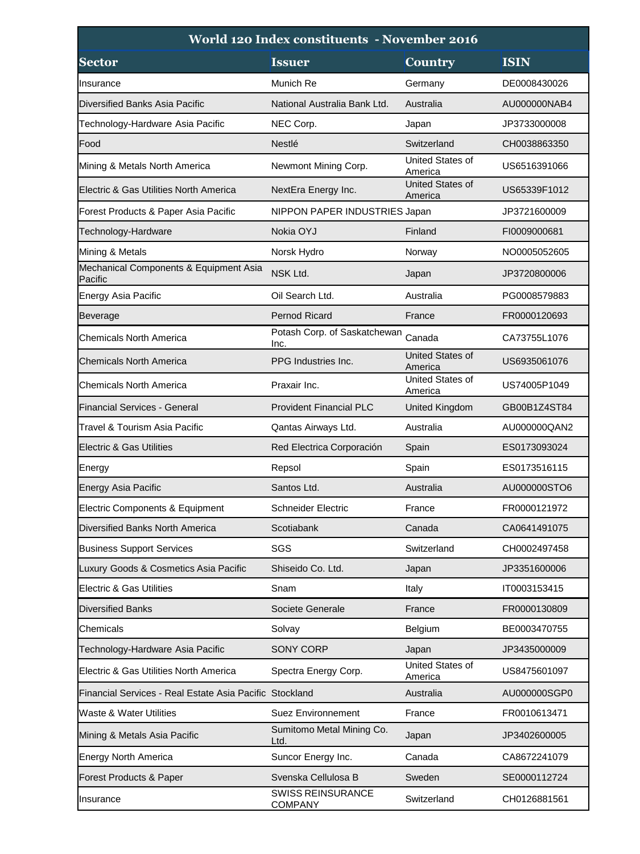| World 120 Index constituents - November 2016            |                                            |                             |              |
|---------------------------------------------------------|--------------------------------------------|-----------------------------|--------------|
| <b>Sector</b>                                           | <b>Issuer</b>                              | <b>Country</b>              | <b>ISIN</b>  |
| Insurance                                               | Munich Re                                  | Germany                     | DE0008430026 |
| Diversified Banks Asia Pacific                          | National Australia Bank Ltd.               | Australia                   | AU000000NAB4 |
| Technology-Hardware Asia Pacific                        | NEC Corp.                                  | Japan                       | JP3733000008 |
| Food                                                    | Nestlé                                     | Switzerland                 | CH0038863350 |
| Mining & Metals North America                           | Newmont Mining Corp.                       | United States of<br>America | US6516391066 |
| Electric & Gas Utilities North America                  | NextEra Energy Inc.                        | United States of<br>America | US65339F1012 |
| Forest Products & Paper Asia Pacific                    | NIPPON PAPER INDUSTRIES Japan              |                             | JP3721600009 |
| Technology-Hardware                                     | Nokia OYJ                                  | Finland                     | FI0009000681 |
| Mining & Metals                                         | Norsk Hydro                                | Norway                      | NO0005052605 |
| Mechanical Components & Equipment Asia<br>Pacific       | NSK Ltd.                                   | Japan                       | JP3720800006 |
| Energy Asia Pacific                                     | Oil Search Ltd.                            | Australia                   | PG0008579883 |
| <b>Beverage</b>                                         | <b>Pernod Ricard</b>                       | France                      | FR0000120693 |
| Chemicals North America                                 | Potash Corp. of Saskatchewan<br>Inc.       | Canada                      | CA73755L1076 |
| <b>Chemicals North America</b>                          | PPG Industries Inc.                        | United States of<br>America | US6935061076 |
| Chemicals North America                                 | Praxair Inc.                               | United States of<br>America | US74005P1049 |
| <b>Financial Services - General</b>                     | <b>Provident Financial PLC</b>             | <b>United Kingdom</b>       | GB00B1Z4ST84 |
| Travel & Tourism Asia Pacific                           | Qantas Airways Ltd.                        | Australia                   | AU000000QAN2 |
| Electric & Gas Utilities                                | Red Electrica Corporación                  | Spain                       | ES0173093024 |
| Energy                                                  | Repsol                                     | Spain                       | ES0173516115 |
| <b>Energy Asia Pacific</b>                              | Santos Ltd.                                | Australia                   | AU000000STO6 |
| Electric Components & Equipment                         | <b>Schneider Electric</b>                  | France                      | FR0000121972 |
| Diversified Banks North America                         | Scotiabank                                 | Canada                      | CA0641491075 |
| <b>Business Support Services</b>                        | SGS                                        | Switzerland                 | CH0002497458 |
| Luxury Goods & Cosmetics Asia Pacific                   | Shiseido Co. Ltd.                          | Japan                       | JP3351600006 |
| Electric & Gas Utilities                                | Snam                                       | Italy                       | IT0003153415 |
| <b>Diversified Banks</b>                                | Societe Generale                           | France                      | FR0000130809 |
| Chemicals                                               | Solvay                                     | Belgium                     | BE0003470755 |
| Technology-Hardware Asia Pacific                        | SONY CORP                                  | Japan                       | JP3435000009 |
| Electric & Gas Utilities North America                  | Spectra Energy Corp.                       | United States of<br>America | US8475601097 |
| Financial Services - Real Estate Asia Pacific Stockland |                                            | Australia                   | AU000000SGP0 |
| Waste & Water Utilities                                 | <b>Suez Environnement</b>                  | France                      | FR0010613471 |
| Mining & Metals Asia Pacific                            | Sumitomo Metal Mining Co.<br>Ltd.          | Japan                       | JP3402600005 |
| <b>Energy North America</b>                             | Suncor Energy Inc.                         | Canada                      | CA8672241079 |
| Forest Products & Paper                                 | Svenska Cellulosa B                        | Sweden                      | SE0000112724 |
| Insurance                                               | <b>SWISS REINSURANCE</b><br><b>COMPANY</b> | Switzerland                 | CH0126881561 |